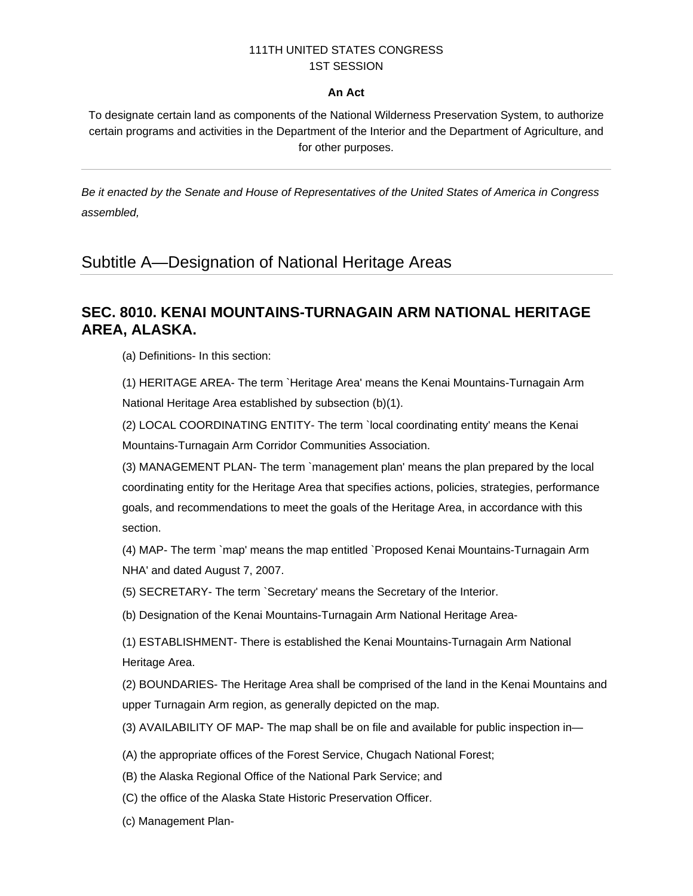## 111TH UNITED STATES CONGRESS 1ST SESSION

## **An Act**

To designate certain land as components of the National Wilderness Preservation System, to authorize certain programs and activities in the Department of the Interior and the Department of Agriculture, and for other purposes.

*Be it enacted by the Senate and House of Representatives of the United States of America in Congress assembled,* 

## Subtitle A—Designation of National Heritage Areas

## **SEC. 8010. KENAI MOUNTAINS-TURNAGAIN ARM NATIONAL HERITAGE AREA, ALASKA.**

(a) Definitions- In this section:

(1) HERITAGE AREA- The term `Heritage Area' means the Kenai Mountains-Turnagain Arm National Heritage Area established by subsection (b)(1).

(2) LOCAL COORDINATING ENTITY- The term `local coordinating entity' means the Kenai Mountains-Turnagain Arm Corridor Communities Association.

(3) MANAGEMENT PLAN- The term `management plan' means the plan prepared by the local coordinating entity for the Heritage Area that specifies actions, policies, strategies, performance goals, and recommendations to meet the goals of the Heritage Area, in accordance with this section.

(4) MAP- The term `map' means the map entitled `Proposed Kenai Mountains-Turnagain Arm NHA' and dated August 7, 2007.

(5) SECRETARY- The term `Secretary' means the Secretary of the Interior.

(b) Designation of the Kenai Mountains-Turnagain Arm National Heritage Area-

(1) ESTABLISHMENT- There is established the Kenai Mountains-Turnagain Arm National Heritage Area.

(2) BOUNDARIES- The Heritage Area shall be comprised of the land in the Kenai Mountains and upper Turnagain Arm region, as generally depicted on the map.

(3) AVAILABILITY OF MAP- The map shall be on file and available for public inspection in—

(A) the appropriate offices of the Forest Service, Chugach National Forest;

(B) the Alaska Regional Office of the National Park Service; and

(C) the office of the Alaska State Historic Preservation Officer.

(c) Management Plan-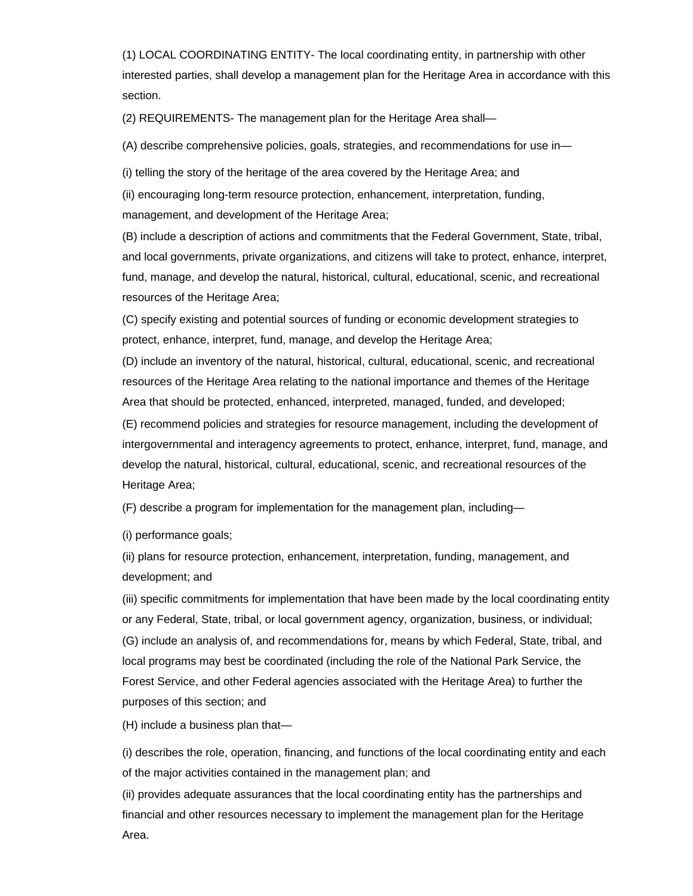(1) LOCAL COORDINATING ENTITY- The local coordinating entity, in partnership with other interested parties, shall develop a management plan for the Heritage Area in accordance with this section.

(2) REQUIREMENTS- The management plan for the Heritage Area shall—

(A) describe comprehensive policies, goals, strategies, and recommendations for use in—

(i) telling the story of the heritage of the area covered by the Heritage Area; and

(ii) encouraging long-term resource protection, enhancement, interpretation, funding, management, and development of the Heritage Area;

(B) include a description of actions and commitments that the Federal Government, State, tribal, and local governments, private organizations, and citizens will take to protect, enhance, interpret, fund, manage, and develop the natural, historical, cultural, educational, scenic, and recreational resources of the Heritage Area;

(C) specify existing and potential sources of funding or economic development strategies to protect, enhance, interpret, fund, manage, and develop the Heritage Area;

(D) include an inventory of the natural, historical, cultural, educational, scenic, and recreational resources of the Heritage Area relating to the national importance and themes of the Heritage Area that should be protected, enhanced, interpreted, managed, funded, and developed;

(E) recommend policies and strategies for resource management, including the development of intergovernmental and interagency agreements to protect, enhance, interpret, fund, manage, and develop the natural, historical, cultural, educational, scenic, and recreational resources of the Heritage Area;

(F) describe a program for implementation for the management plan, including—

(i) performance goals;

(ii) plans for resource protection, enhancement, interpretation, funding, management, and development; and

(iii) specific commitments for implementation that have been made by the local coordinating entity or any Federal, State, tribal, or local government agency, organization, business, or individual; (G) include an analysis of, and recommendations for, means by which Federal, State, tribal, and local programs may best be coordinated (including the role of the National Park Service, the Forest Service, and other Federal agencies associated with the Heritage Area) to further the purposes of this section; and

(H) include a business plan that—

(i) describes the role, operation, financing, and functions of the local coordinating entity and each of the major activities contained in the management plan; and

(ii) provides adequate assurances that the local coordinating entity has the partnerships and financial and other resources necessary to implement the management plan for the Heritage Area.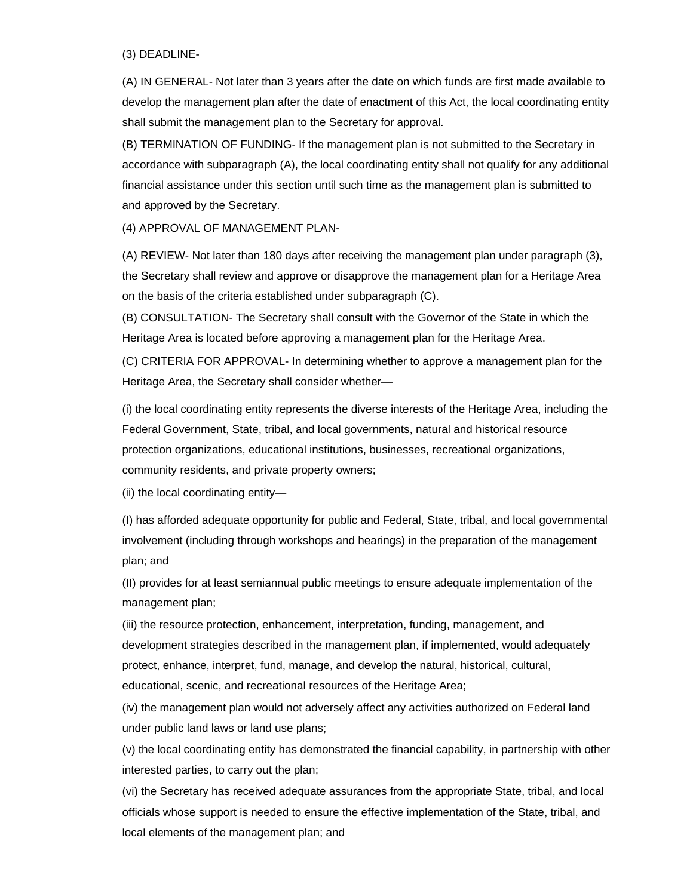(3) DEADLINE-

(A) IN GENERAL- Not later than 3 years after the date on which funds are first made available to develop the management plan after the date of enactment of this Act, the local coordinating entity shall submit the management plan to the Secretary for approval.

(B) TERMINATION OF FUNDING- If the management plan is not submitted to the Secretary in accordance with subparagraph (A), the local coordinating entity shall not qualify for any additional financial assistance under this section until such time as the management plan is submitted to and approved by the Secretary.

(4) APPROVAL OF MANAGEMENT PLAN-

(A) REVIEW- Not later than 180 days after receiving the management plan under paragraph (3), the Secretary shall review and approve or disapprove the management plan for a Heritage Area on the basis of the criteria established under subparagraph (C).

(B) CONSULTATION- The Secretary shall consult with the Governor of the State in which the Heritage Area is located before approving a management plan for the Heritage Area.

(C) CRITERIA FOR APPROVAL- In determining whether to approve a management plan for the Heritage Area, the Secretary shall consider whether—

(i) the local coordinating entity represents the diverse interests of the Heritage Area, including the Federal Government, State, tribal, and local governments, natural and historical resource protection organizations, educational institutions, businesses, recreational organizations, community residents, and private property owners;

(ii) the local coordinating entity—

(I) has afforded adequate opportunity for public and Federal, State, tribal, and local governmental involvement (including through workshops and hearings) in the preparation of the management plan; and

(II) provides for at least semiannual public meetings to ensure adequate implementation of the management plan;

(iii) the resource protection, enhancement, interpretation, funding, management, and development strategies described in the management plan, if implemented, would adequately protect, enhance, interpret, fund, manage, and develop the natural, historical, cultural, educational, scenic, and recreational resources of the Heritage Area;

(iv) the management plan would not adversely affect any activities authorized on Federal land under public land laws or land use plans;

(v) the local coordinating entity has demonstrated the financial capability, in partnership with other interested parties, to carry out the plan;

(vi) the Secretary has received adequate assurances from the appropriate State, tribal, and local officials whose support is needed to ensure the effective implementation of the State, tribal, and local elements of the management plan; and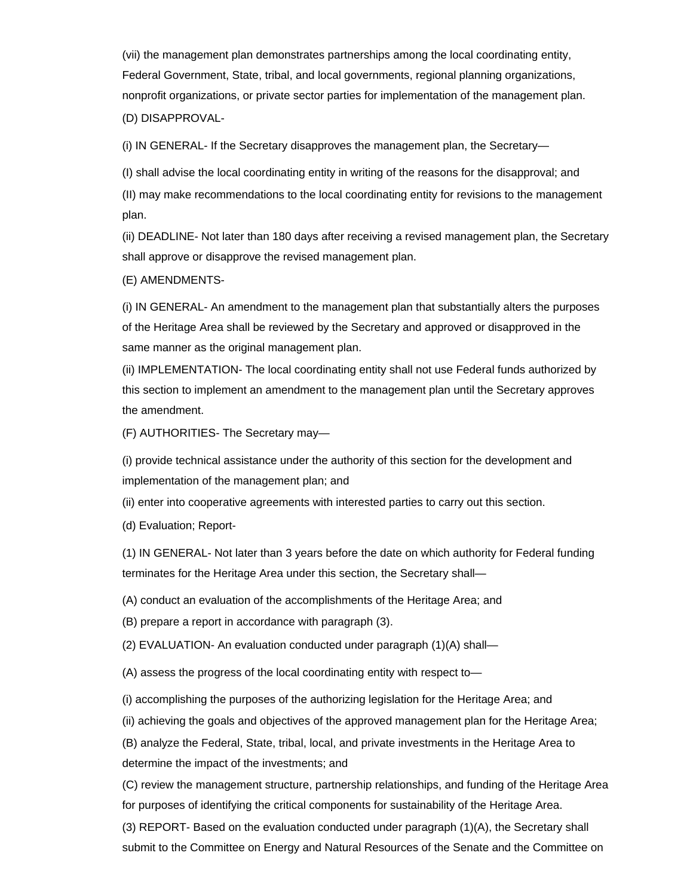(vii) the management plan demonstrates partnerships among the local coordinating entity, Federal Government, State, tribal, and local governments, regional planning organizations, nonprofit organizations, or private sector parties for implementation of the management plan. (D) DISAPPROVAL-

(i) IN GENERAL- If the Secretary disapproves the management plan, the Secretary—

(I) shall advise the local coordinating entity in writing of the reasons for the disapproval; and

(II) may make recommendations to the local coordinating entity for revisions to the management plan.

(ii) DEADLINE- Not later than 180 days after receiving a revised management plan, the Secretary shall approve or disapprove the revised management plan.

(E) AMENDMENTS-

(i) IN GENERAL- An amendment to the management plan that substantially alters the purposes of the Heritage Area shall be reviewed by the Secretary and approved or disapproved in the same manner as the original management plan.

(ii) IMPLEMENTATION- The local coordinating entity shall not use Federal funds authorized by this section to implement an amendment to the management plan until the Secretary approves the amendment.

(F) AUTHORITIES- The Secretary may—

(i) provide technical assistance under the authority of this section for the development and implementation of the management plan; and

(ii) enter into cooperative agreements with interested parties to carry out this section.

(d) Evaluation; Report-

(1) IN GENERAL- Not later than 3 years before the date on which authority for Federal funding terminates for the Heritage Area under this section, the Secretary shall—

(A) conduct an evaluation of the accomplishments of the Heritage Area; and

(B) prepare a report in accordance with paragraph (3).

(2) EVALUATION- An evaluation conducted under paragraph (1)(A) shall—

(A) assess the progress of the local coordinating entity with respect to—

(i) accomplishing the purposes of the authorizing legislation for the Heritage Area; and

(ii) achieving the goals and objectives of the approved management plan for the Heritage Area;

(B) analyze the Federal, State, tribal, local, and private investments in the Heritage Area to determine the impact of the investments; and

(C) review the management structure, partnership relationships, and funding of the Heritage Area for purposes of identifying the critical components for sustainability of the Heritage Area.

(3) REPORT- Based on the evaluation conducted under paragraph (1)(A), the Secretary shall submit to the Committee on Energy and Natural Resources of the Senate and the Committee on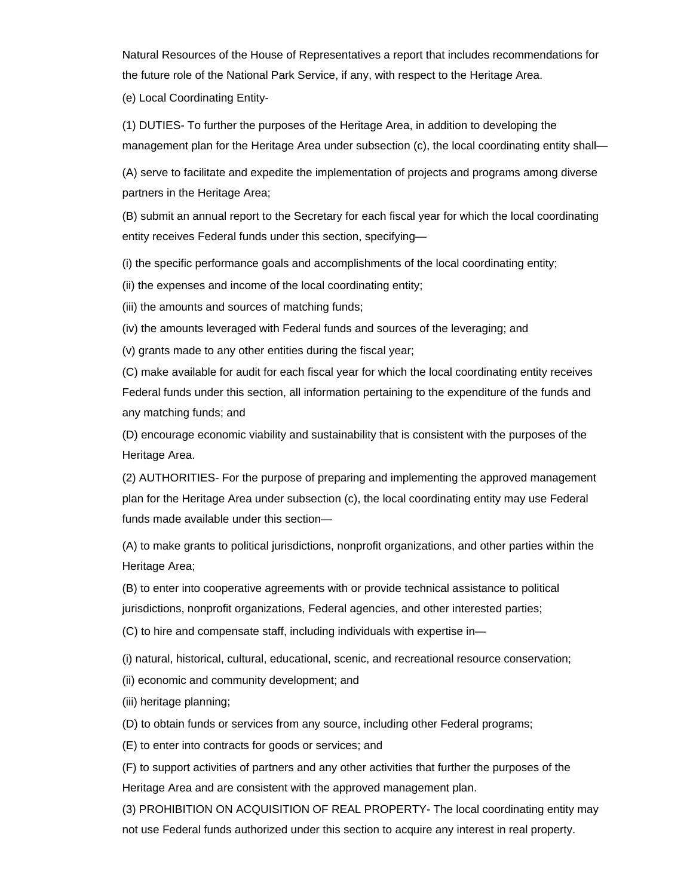Natural Resources of the House of Representatives a report that includes recommendations for the future role of the National Park Service, if any, with respect to the Heritage Area.

(e) Local Coordinating Entity-

(1) DUTIES- To further the purposes of the Heritage Area, in addition to developing the management plan for the Heritage Area under subsection (c), the local coordinating entity shall—

(A) serve to facilitate and expedite the implementation of projects and programs among diverse partners in the Heritage Area;

(B) submit an annual report to the Secretary for each fiscal year for which the local coordinating entity receives Federal funds under this section, specifying—

(i) the specific performance goals and accomplishments of the local coordinating entity;

(ii) the expenses and income of the local coordinating entity;

(iii) the amounts and sources of matching funds;

(iv) the amounts leveraged with Federal funds and sources of the leveraging; and

(v) grants made to any other entities during the fiscal year;

(C) make available for audit for each fiscal year for which the local coordinating entity receives Federal funds under this section, all information pertaining to the expenditure of the funds and any matching funds; and

(D) encourage economic viability and sustainability that is consistent with the purposes of the Heritage Area.

(2) AUTHORITIES- For the purpose of preparing and implementing the approved management plan for the Heritage Area under subsection (c), the local coordinating entity may use Federal funds made available under this section—

(A) to make grants to political jurisdictions, nonprofit organizations, and other parties within the Heritage Area;

(B) to enter into cooperative agreements with or provide technical assistance to political jurisdictions, nonprofit organizations, Federal agencies, and other interested parties;

(C) to hire and compensate staff, including individuals with expertise in—

(i) natural, historical, cultural, educational, scenic, and recreational resource conservation;

(ii) economic and community development; and

(iii) heritage planning;

(D) to obtain funds or services from any source, including other Federal programs;

(E) to enter into contracts for goods or services; and

(F) to support activities of partners and any other activities that further the purposes of the Heritage Area and are consistent with the approved management plan.

(3) PROHIBITION ON ACQUISITION OF REAL PROPERTY- The local coordinating entity may not use Federal funds authorized under this section to acquire any interest in real property.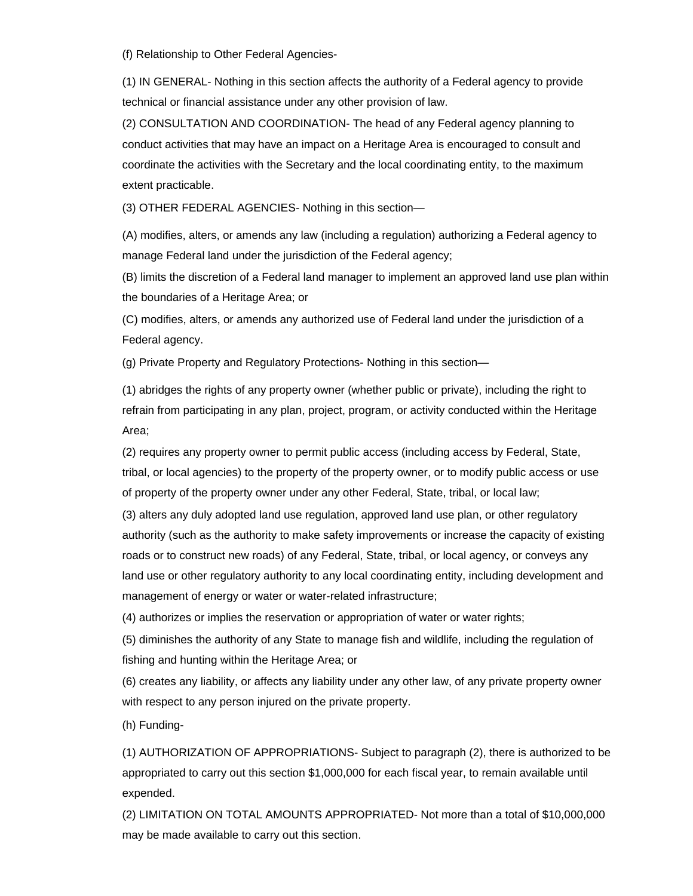(f) Relationship to Other Federal Agencies-

(1) IN GENERAL- Nothing in this section affects the authority of a Federal agency to provide technical or financial assistance under any other provision of law.

(2) CONSULTATION AND COORDINATION- The head of any Federal agency planning to conduct activities that may have an impact on a Heritage Area is encouraged to consult and coordinate the activities with the Secretary and the local coordinating entity, to the maximum extent practicable.

(3) OTHER FEDERAL AGENCIES- Nothing in this section—

(A) modifies, alters, or amends any law (including a regulation) authorizing a Federal agency to manage Federal land under the jurisdiction of the Federal agency;

(B) limits the discretion of a Federal land manager to implement an approved land use plan within the boundaries of a Heritage Area; or

(C) modifies, alters, or amends any authorized use of Federal land under the jurisdiction of a Federal agency.

(g) Private Property and Regulatory Protections- Nothing in this section—

(1) abridges the rights of any property owner (whether public or private), including the right to refrain from participating in any plan, project, program, or activity conducted within the Heritage Area;

(2) requires any property owner to permit public access (including access by Federal, State, tribal, or local agencies) to the property of the property owner, or to modify public access or use of property of the property owner under any other Federal, State, tribal, or local law;

(3) alters any duly adopted land use regulation, approved land use plan, or other regulatory authority (such as the authority to make safety improvements or increase the capacity of existing roads or to construct new roads) of any Federal, State, tribal, or local agency, or conveys any land use or other regulatory authority to any local coordinating entity, including development and management of energy or water or water-related infrastructure;

(4) authorizes or implies the reservation or appropriation of water or water rights;

(5) diminishes the authority of any State to manage fish and wildlife, including the regulation of fishing and hunting within the Heritage Area; or

(6) creates any liability, or affects any liability under any other law, of any private property owner with respect to any person injured on the private property.

(h) Funding-

(1) AUTHORIZATION OF APPROPRIATIONS- Subject to paragraph (2), there is authorized to be appropriated to carry out this section \$1,000,000 for each fiscal year, to remain available until expended.

(2) LIMITATION ON TOTAL AMOUNTS APPROPRIATED- Not more than a total of \$10,000,000 may be made available to carry out this section.